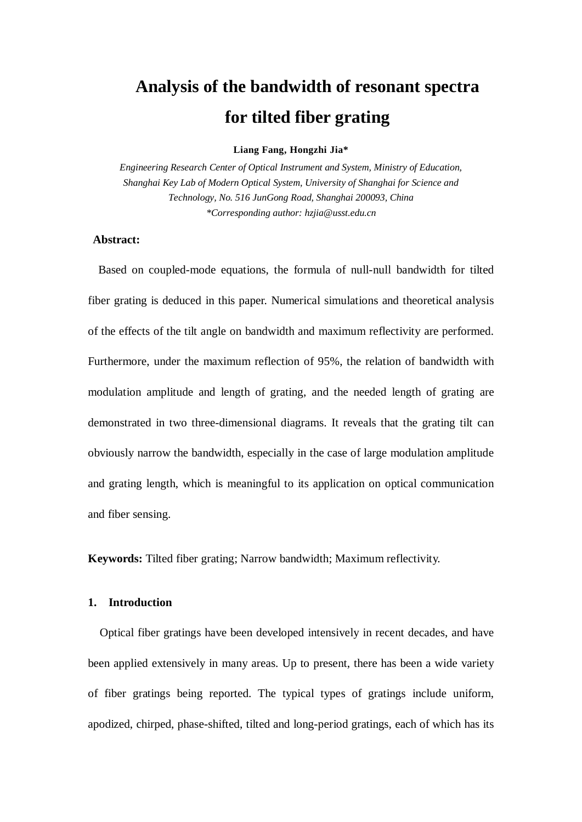# **Analysis of the bandwidth of resonant spectra for tilted fiber grating**

#### **Liang Fang, Hongzhi Jia\***

*Engineering Research Center of Optical Instrument and System, Ministry of Education, Shanghai Key Lab of Modern Optical System, University of Shanghai for Science and Technology, No. 516 JunGong Road, Shanghai 200093, China \*Corresponding author: hzjia@usst.edu.cn*

## **Abstract:**

Based on coupled-mode equations, the formula of null-null bandwidth for tilted fiber grating is deduced in this paper. Numerical simulations and theoretical analysis of the effects of the tilt angle on bandwidth and maximum reflectivity are performed. Furthermore, under the maximum reflection of 95%, the relation of bandwidth with modulation amplitude and length of grating, and the needed length of grating are demonstrated in two three-dimensional diagrams. It reveals that the grating tilt can obviously narrow the bandwidth, especially in the case of large modulation amplitude and grating length, which is meaningful to its application on optical communication and fiber sensing.

**Keywords:** Tilted fiber grating; Narrow bandwidth; Maximum reflectivity.

### **1. Introduction**

Optical fiber gratings have been developed intensively in recent decades, and have been applied extensively in many areas. Up to present, there has been a wide variety of fiber gratings being reported. The typical types of gratings include uniform, apodized, chirped, phase-shifted, tilted and long-period gratings, each of which has its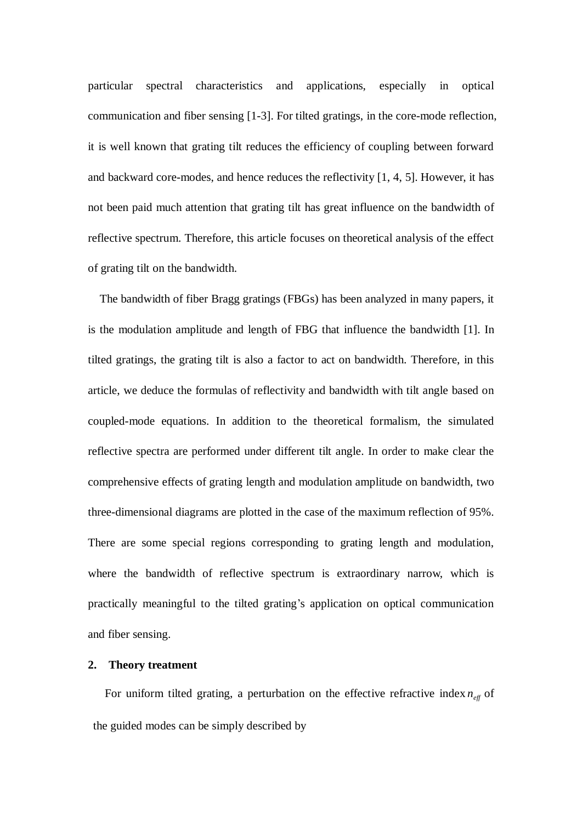particular spectral characteristics and applications, especially in optical communication and fiber sensing [1-3]. For tilted gratings, in the core-mode reflection, it is well known that grating tilt reduces the efficiency of coupling between forward and backward core-modes, and hence reduces the reflectivity [1, 4, 5]. However, it has not been paid much attention that grating tilt has great influence on the bandwidth of reflective spectrum. Therefore, this article focuses on theoretical analysis of the effect of grating tilt on the bandwidth.

The bandwidth of fiber Bragg gratings (FBGs) has been analyzed in many papers, it is the modulation amplitude and length of FBG that influence the bandwidth [1]. In tilted gratings, the grating tilt is also a factor to act on bandwidth. Therefore, in this article, we deduce the formulas of reflectivity and bandwidth with tilt angle based on coupled-mode equations. In addition to the theoretical formalism, the simulated reflective spectra are performed under different tilt angle. In order to make clear the comprehensive effects of grating length and modulation amplitude on bandwidth, two three-dimensional diagrams are plotted in the case of the maximum reflection of 95%. There are some special regions corresponding to grating length and modulation, where the bandwidth of reflective spectrum is extraordinary narrow, which is practically meaningful to the tilted grating's application on optical communication and fiber sensing.

#### **2. Theory treatment**

For uniform tilted grating, a perturbation on the effective refractive index  $n_{\text{eff}}$  of the guided modes can be simply described by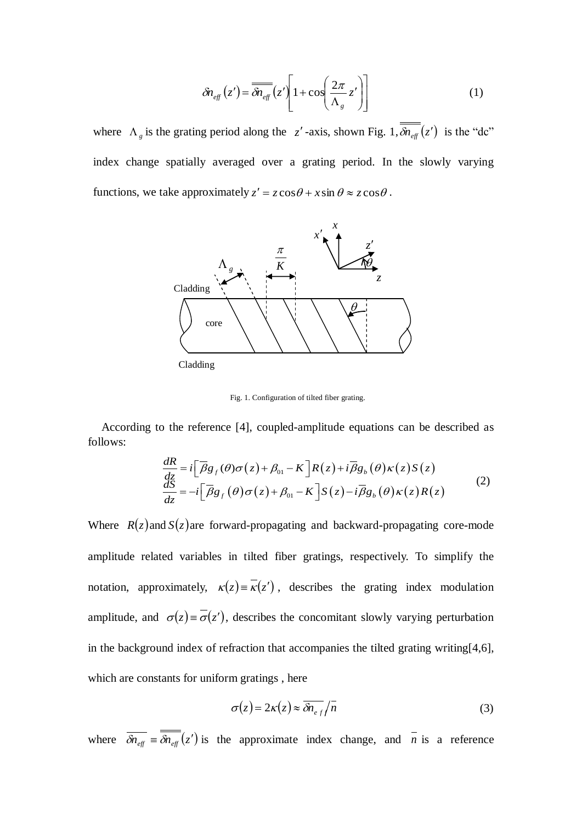$$
\delta n_{\text{eff}}(z') = \overline{\delta n_{\text{eff}}}(z') \left[ 1 + \cos\left(\frac{2\pi}{\Lambda_g} z'\right) \right] \tag{1}
$$

where  $\Lambda_g$  is the grating period along the *z*'-axis, shown Fig. 1,  $\delta n_{\text{eff}}(z')$  is the "dc" index change spatially averaged over a grating period. In the slowly varying functions, we take approximately  $z' = z \cos \theta + x \sin \theta \approx z \cos \theta$ .



Fig. 1. Configuration of tilted fiber grating.

According to the reference [4], coupled-amplitude equations can be described as follows:

$$
\frac{dR}{dz} = i \left[ \overline{\beta} g_f(\theta) \sigma(z) + \beta_{01} - K \right] R(z) + i \overline{\beta} g_b(\theta) \kappa(z) S(z)
$$
\n
$$
\frac{dS}{dz} = -i \left[ \overline{\beta} g_f(\theta) \sigma(z) + \beta_{01} - K \right] S(z) - i \overline{\beta} g_b(\theta) \kappa(z) R(z)
$$
\n(2)

Where  $R(z)$  and  $S(z)$  are forward-propagating and backward-propagating core-mode amplitude related variables in tilted fiber gratings, respectively. To simplify the notation, [approximatel](app:ds:approximate)y,  $\kappa(z) = \overline{\kappa(z')}$ , describes the grating index modulation amplitude, and  $\sigma(z) = \sigma(z')$ , describes the concomitant slowly varying perturbation in the background index of refraction that accompanies the tilted grating writing[4,6], which are constants for uniform gratings , here

$$
\sigma(z) = 2\kappa(z) \approx \overline{\delta n_{eff}} / \overline{n}
$$
 (3)

where  $\delta n_{\text{eff}} \equiv \delta n_{\text{eff}}(z')$  is the approximate index change, and *n* is a reference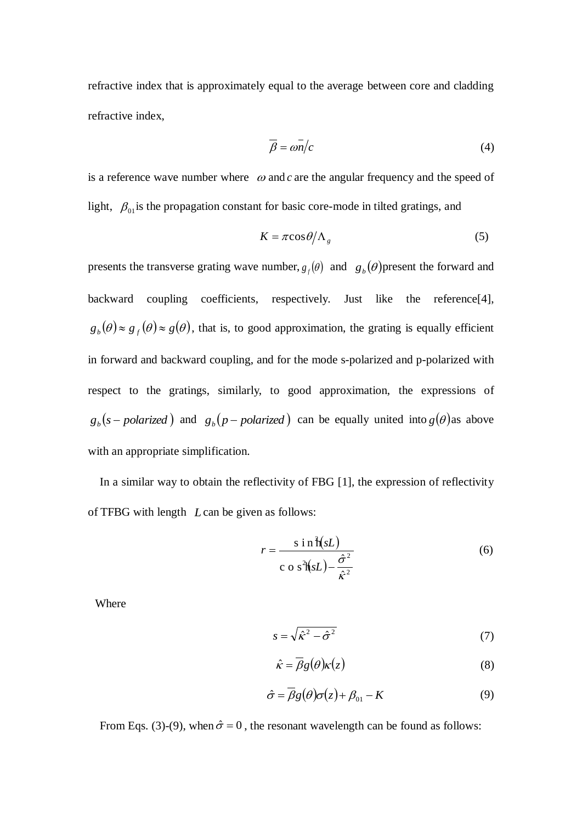refractive index that is approximately equal to the average between core and cladding refractive index,

$$
\overline{\beta} = \overline{\omega n/c} \tag{4}
$$

is a reference wave number where  $\omega$  and c are the angular frequency and the speed of light,  $\beta_{01}$  is the propagation constant for basic core-mode in tilted gratings, and

$$
K = \pi \cos \theta / \Lambda_g \tag{5}
$$

presents the transverse grating wave number,  $g_f(\theta)$  and  $g_b(\theta)$  present the forward and backward coupling coefficients, respectively. Just like the reference[4],  $g_b(\theta) \approx g_f(\theta) \approx g(\theta)$ , that is, to good approximation, the grating is equally efficient in forward and backward coupling, and for the mode s-polarized and p-polarized with respect to the gratings, similarly, to good approximation, the expressions of  $g_b(s$  *polarized* and  $g_b(p$  *polarized* can be equally united into  $g(\theta)$  as above with an appropriate simplification.

In a similar way to obtain the reflectivity of FBG [1], the expression of reflectivity of TFBG with length *L* can be given as follows:

$$
r = \frac{\sin \hat{\mathbf{h}}(sL)}{\cos^2(\hat{\mathbf{h}}(sL) - \frac{\hat{\sigma}^2}{\hat{\mathbf{k}}^2})}
$$
(6)

Where

$$
s = \sqrt{\hat{\kappa}^2 - \hat{\sigma}^2} \tag{7}
$$

$$
\hat{\kappa} = \overline{\beta}g(\theta)\kappa(z) \tag{8}
$$

$$
\hat{\sigma} = \overline{\beta}g(\theta)\sigma(z) + \beta_{01} - K \tag{9}
$$

From Eqs. (3)-(9), when  $\hat{\sigma} = 0$ , the [resonant wavelength](app:ds:resonant%20wavelength) can be found as follows: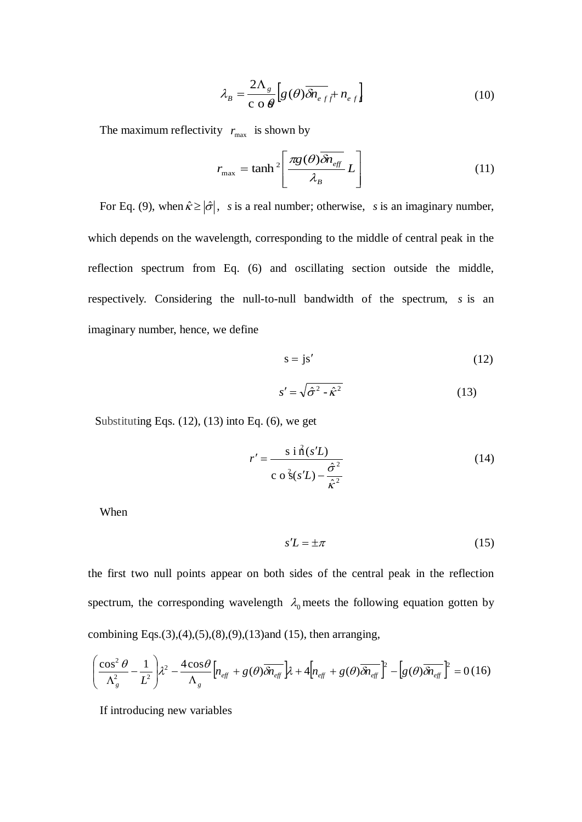$$
\lambda_B = \frac{2\Lambda_s}{c \cdot \Theta} \Big[ g(\theta) \overline{\delta n_{eff}} + n_{eff} \Big]
$$
(10)

The maximum reflectivity  $r_{\text{max}}$  is shown by

$$
r_{\text{max}} = \tanh^2 \left[ \frac{\pi g(\theta) \overline{\delta n_{\text{eff}}}}{\lambda_B} L \right]
$$
 (11)

For Eq. (9), when  $\hat{\kappa} \ge |\hat{\sigma}|$ , *s* is a real number; otherwise, *s* is an imaginary number, which depends on the wavelength, corresponding to the middle of central peak in the reflection spectrum from Eq. (6) and oscillating section outside the middle, respectively. Considering the null-to-null bandwidth of the spectrum, *s* is an imaginary number, hence, we define

$$
s = js'
$$
 (12)

$$
s' = \sqrt{\hat{\sigma}^2 - \hat{\kappa}^2} \tag{13}
$$

Substituting Eqs.  $(12)$ ,  $(13)$  into Eq.  $(6)$ , we get

$$
r' = \frac{\sin \hat{\mathbf{n}}(s'L)}{\cos \hat{\mathbf{n}}(s'L) - \frac{\hat{\sigma}^2}{\hat{\kappa}^2}}
$$
(14)

When

$$
s'L = \pm \pi \tag{15}
$$

the first two null points appear on both sides of the central peak in the reflection spectrum, the [corresponding](app:ds:corresponding) wavelength  $\lambda_0$  meets the following equation gotten by combining Eqs.(3),(4),(5),(8),(9),(13)and (15), then arranging,

$$
\left(\frac{\cos^2\theta}{\Lambda_g^2} - \frac{1}{L^2}\right)\lambda^2 - \frac{4\cos\theta}{\Lambda_g}\left[n_{\text{eff}} + g(\theta)\overline{\delta n_{\text{eff}}}\right]\lambda + 4\left[n_{\text{eff}} + g(\theta)\overline{\delta n_{\text{eff}}}\right]^2 - \left[g(\theta)\overline{\delta n_{\text{eff}}}\right]^2 = 0\,(16)
$$

If introducing new variables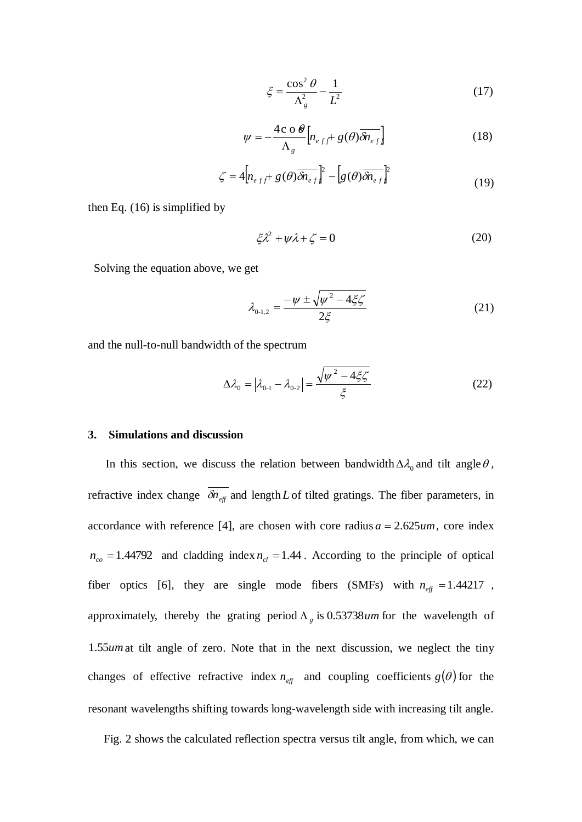$$
\xi = \frac{\cos^2 \theta}{\Lambda_s^2} - \frac{1}{L^2} \tag{17}
$$

$$
\psi = -\frac{4c \, \mathrm{o} \, \theta}{\Lambda_g} \left[ n_{eff} + g(\theta) \overline{\delta n_{eff}} \right] \tag{18}
$$

$$
\zeta = 4 \Big[ n_{eff} + g(\theta) \overline{\delta n_{eff}} \Big]^2 - \Big[ g(\theta) \overline{\delta n_{eff}} \Big]^2 \tag{19}
$$

then Eq. (16) is simplified by

$$
\xi \lambda^2 + \psi \lambda + \zeta = 0 \tag{20}
$$

Solving the equation above, we get

$$
\lambda_{0-1,2} = \frac{-\psi \pm \sqrt{\psi^2 - 4\xi\zeta}}{2\xi} \tag{21}
$$

and the null-to-null bandwidth of the spectrum

$$
\Delta \lambda_0 = |\lambda_{0-1} - \lambda_{0-2}| = \frac{\sqrt{\psi^2 - 4\xi\zeta}}{\xi}
$$
 (22)

## **3. Simulations and discussion**

In this section, we discuss the relation between bandwidth  $\Delta \lambda_0$  and tilt angle  $\theta$ , refractive index change  $\delta n_{\text{eff}}$  and length L of tilted gratings. The fiber parameters, in accordance with reference [4], are chosen with core radius  $a = 2.625$ *um*, core index  $n_{co} = 1.44792$  and cladding index  $n_{cl} = 1.44$ . According to the principle of optical fiber optics [6], they are single mode fibers (SMFs) with  $n_{\text{eff}} = 1.44217$ , approximately, thereby the grating period  $\Lambda_g$  is 0.53738*um* for the wavelength of 1.55*um* at tilt angle of zero. Note that in the next discussion, we neglect the tiny changes of [effective refractive index](app:ds:effective%20refractive%20index)  $n_{\text{eff}}$  and coupling coefficients  $g(\theta)$  for the resonant wavelengths shifting towards long-wavelength side with increasing tilt angle.

Fig. 2 shows the calculated reflection spectra versus tilt angle, from which, we can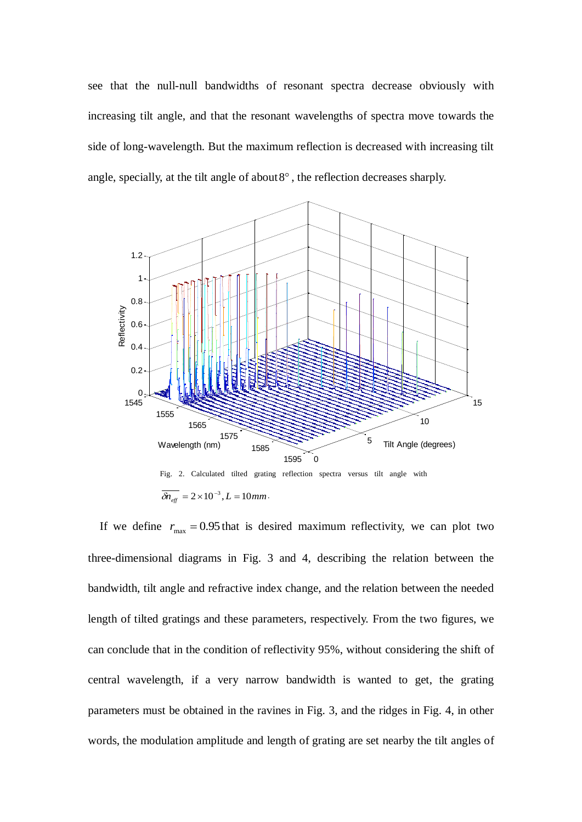see that the null-null bandwidths of resonant spectra decrease obviously with increasing tilt angle, and that the resonant wavelengths of spectra move towards the side of long-wavelength. But the maximum reflection is decreased with increasing tilt angle, specially, at the tilt angle of about  $8^\circ$ , the reflection decreases sharply.



If we define  $r_{\text{max}} = 0.95$  that is desired maximum reflectivity, we can plot two three-dimensional diagrams in Fig. 3 and 4, describing the relation between the bandwidth, tilt angle and refractive index change, and the relation between the needed length of tilted gratings and these parameters, respectively. From the two figures, we can conclude that in the condition of reflectivity 95%, without considering the shift of central wavelength, if a very narrow bandwidth is wanted to get, the grating parameters must be obtained in the ravines in Fig. 3, and the ridges in Fig. 4, in other words, the modulation amplitude and length of grating are set nearby the tilt angles of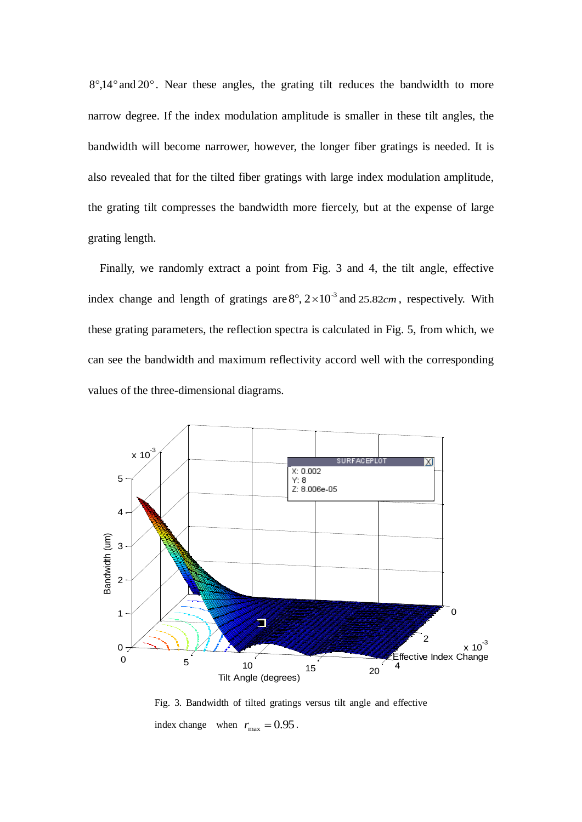8°,14° and 20°. Near these angles, the grating tilt reduces the bandwidth to more narrow degree. If the index modulation amplitude is smaller in these tilt angles, the bandwidth will become narrower, however, the longer fiber gratings is needed. It is also revealed that for the tilted fiber gratings with large index modulation amplitude, the grating tilt compresses the bandwidth more fiercely, but at the expense of large grating length.

Finally, we randomly extract a point from Fig. 3 and 4, the tilt angle, effective index change and length of gratings are  $8^\circ$ ,  $2 \times 10^{-3}$  and  $25.82$ *cm*, respectively. With these grating parameters, the reflection spectra is calculated in Fig. 5, from which, we can see the bandwidth and maximum reflectivity accord well with the corresponding values of the three-dimensional diagrams.



Fig. 3. Bandwidth of tilted gratings versus tilt angle and effective index change when  $r_{\text{max}} = 0.95$ .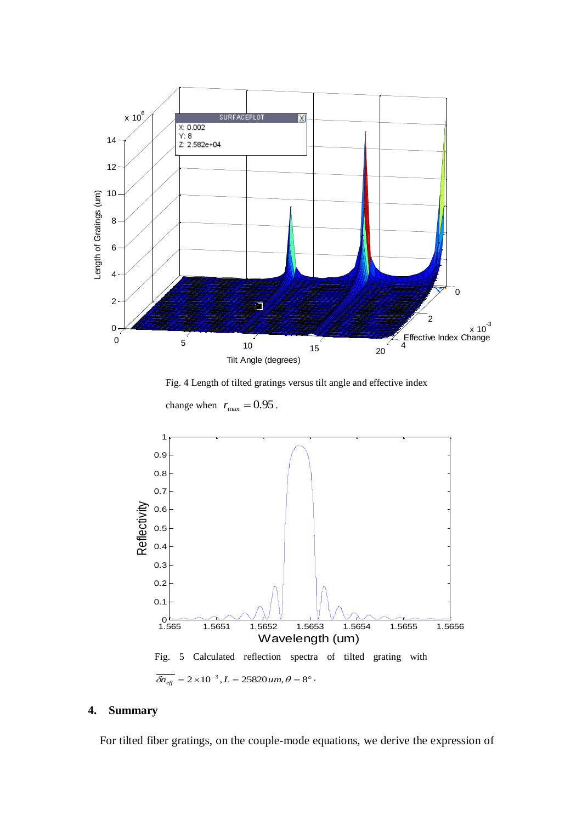

Fig. 4 Length of tilted gratings versus tilt angle and effective index

change when  $r_{\text{max}} = 0.95$ .



## **4. Summary**

For tilted fiber gratings, on the couple-mode equations, we derive the expression of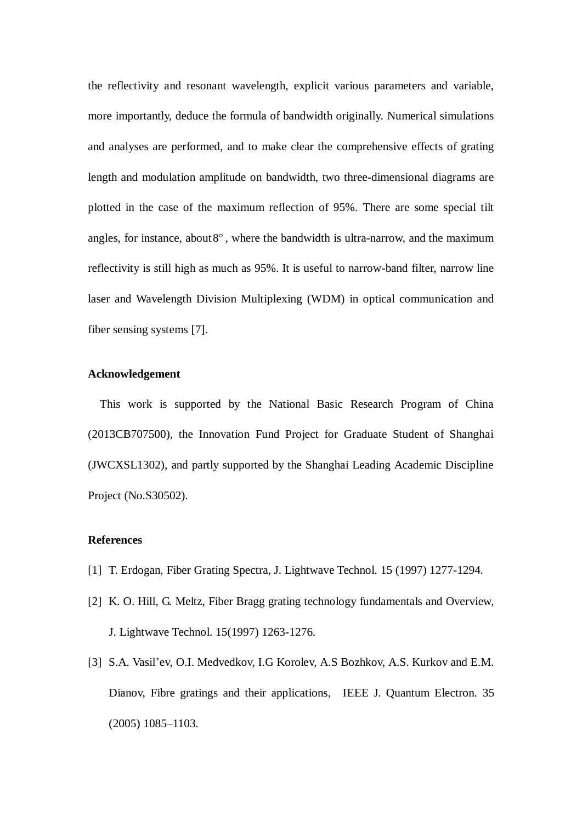the reflectivity and resonant wavelength, explicit various parameters and variable, more importantly, deduce the formula of bandwidth originally. Numerical simulations and analyses are performed, and to make clear the comprehensive effects of grating length and modulation amplitude on bandwidth, two three-dimensional diagrams are plotted in the case of the maximum reflection of 95%. There are some special tilt angles, for instance, about  $8^\circ$ , where the bandwidth is ultra-narrow, and the maximum reflectivity is still high as much as 95%. It is useful to narrow-band filter, narrow line laser and Wavelength Division Multiplexing (WDM) in optical communication and fiber sensing systems [7].

## **Acknowledgement**

This work is supported by the National Basic Research Program of China (2013CB707500), the Innovation Fund Project for Graduate Student of Shanghai (JWCXSL1302), and partly supported by the Shanghai Leading Academic Discipline Project (No.S30502).

### **References**

- [1] T. Erdogan, Fiber Grating Spectra, J. Lightwave Technol. 15 (1997) 1277-1294.
- [2] K. O. Hill, G. Meltz, Fiber Bragg grating technology fundamentals and Overview, J. Lightwave Technol. 15(1997) 1263-1276.
- [3] S.A. Vasil'ev, O.I. Medvedkov, I.G Korolev, A.S Bozhkov, A.S. Kurkov and E.M. Dianov, Fibre gratings and their applications, IEEE J. Quantum Electron. 35 (2005) 1085–1103.